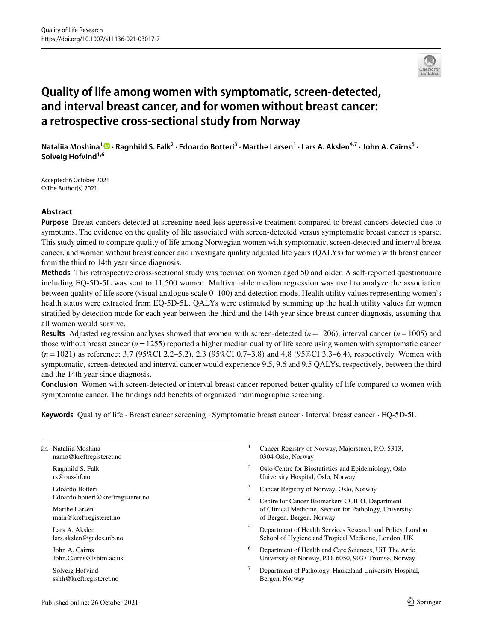

# **Quality of life among women with symptomatic, screen‑detected, and interval breast cancer, and for women without breast cancer: a retrospective cross‑sectional study from Norway**

NataliiaMoshina<sup>1</sup> <sup>D</sup> · Ragnhild S. Falk<sup>2</sup> · Edoardo Botteri<sup>3</sup> · Marthe Larsen<sup>1</sup> · Lars A. Akslen<sup>4,7</sup> · John A. Cairns<sup>5</sup> · **Solveig Hofvind1,6**

Accepted: 6 October 2021 © The Author(s) 2021

#### **Abstract**

**Purpose** Breast cancers detected at screening need less aggressive treatment compared to breast cancers detected due to symptoms. The evidence on the quality of life associated with screen-detected versus symptomatic breast cancer is sparse. This study aimed to compare quality of life among Norwegian women with symptomatic, screen-detected and interval breast cancer, and women without breast cancer and investigate quality adjusted life years (QALYs) for women with breast cancer from the third to 14th year since diagnosis.

**Methods** This retrospective cross-sectional study was focused on women aged 50 and older. A self-reported questionnaire including EQ-5D-5L was sent to 11,500 women. Multivariable median regression was used to analyze the association between quality of life score (visual analogue scale 0–100) and detection mode. Health utility values representing women's health status were extracted from EQ-5D-5L. QALYs were estimated by summing up the health utility values for women stratifed by detection mode for each year between the third and the 14th year since breast cancer diagnosis, assuming that all women would survive.

**Results** Adjusted regression analyses showed that women with screen-detected  $(n=1206)$ , interval cancer  $(n=1005)$  and those without breast cancer  $(n=1255)$  reported a higher median quality of life score using women with symptomatic cancer (*n*=1021) as reference; 3.7 (95%CI 2.2–5.2), 2.3 (95%CI 0.7–3.8) and 4.8 (95%CI 3.3–6.4), respectively. Women with symptomatic, screen-detected and interval cancer would experience 9.5, 9.6 and 9.5 QALYs, respectively, between the third and the 14th year since diagnosis.

**Conclusion** Women with screen-detected or interval breast cancer reported better quality of life compared to women with symptomatic cancer. The fndings add benefts of organized mammographic screening.

**Keywords** Quality of life · Breast cancer screening · Symptomatic breast cancer · Interval breast cancer · EQ-5D-5L

 $\boxtimes$  Nataliia Moshina namo@kreftregisteret.no Ragnhild S. Falk rs@ous-hf.no Edoardo Botteri Edoardo.botteri@kreftregisteret.no Marthe Larsen maln@kreftregisteret.no Lars A. Akslen lars.akslen@gades.uib.no John A. Cairns John.Cairns@lshtm.ac.uk Solveig Hofvind sshh@kreftregisteret.no 0304 Oslo, Norway of Bergen, Bergen, Norway

- Cancer Registry of Norway, Majorstuen, P.O. 5313,
- <sup>2</sup> Oslo Centre for Biostatistics and Epidemiology, Oslo University Hospital, Oslo, Norway
- <sup>3</sup> Cancer Registry of Norway, Oslo, Norway
- Centre for Cancer Biomarkers CCBIO, Department of Clinical Medicine, Section for Pathology, University
- <sup>5</sup> Department of Health Services Research and Policy, London School of Hygiene and Tropical Medicine, London, UK
- <sup>6</sup> Department of Health and Care Sciences, UiT The Artic University of Norway, P.O. 6050, 9037 Tromsø, Norway
- <sup>7</sup> Department of Pathology, Haukeland University Hospital, Bergen, Norway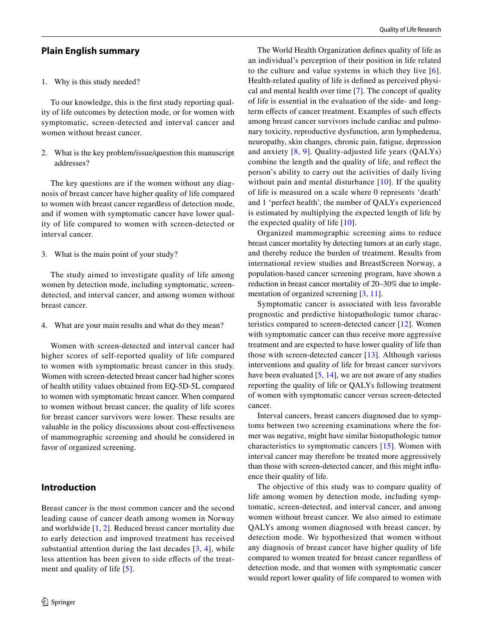#### **Plain English summary**

#### 1. Why is this study needed?

To our knowledge, this is the frst study reporting quality of life outcomes by detection mode, or for women with symptomatic, screen-detected and interval cancer and women without breast cancer.

2. What is the key problem/issue/question this manuscript addresses?

The key questions are if the women without any diagnosis of breast cancer have higher quality of life compared to women with breast cancer regardless of detection mode, and if women with symptomatic cancer have lower quality of life compared to women with screen-detected or interval cancer.

3. What is the main point of your study?

The study aimed to investigate quality of life among women by detection mode, including symptomatic, screendetected, and interval cancer, and among women without breast cancer.

4. What are your main results and what do they mean?

Women with screen-detected and interval cancer had higher scores of self-reported quality of life compared to women with symptomatic breast cancer in this study. Women with screen-detected breast cancer had higher scores of health utility values obtained from EQ-5D-5L compared to women with symptomatic breast cancer. When compared to women without breast cancer, the quality of life scores for breast cancer survivors were lower. These results are valuable in the policy discussions about cost-efectiveness of mammographic screening and should be considered in favor of organized screening.

## **Introduction**

Breast cancer is the most common cancer and the second leading cause of cancer death among women in Norway and worldwide [\[1](#page-10-0), [2](#page-10-1)]. Reduced breast cancer mortality due to early detection and improved treatment has received substantial attention during the last decades  $[3, 4]$  $[3, 4]$  $[3, 4]$  $[3, 4]$  $[3, 4]$ , while less attention has been given to side efects of the treat-ment and quality of life [[5\]](#page-10-4).

The World Health Organization defnes quality of life as an individual's perception of their position in life related to the culture and value systems in which they live [[6](#page-10-5)]. Health-related quality of life is defned as perceived physical and mental health over time [\[7](#page-10-6)]. The concept of quality of life is essential in the evaluation of the side- and longterm effects of cancer treatment. Examples of such effects among breast cancer survivors include cardiac and pulmonary toxicity, reproductive dysfunction, arm lymphedema, neuropathy, skin changes, chronic pain, fatigue, depression and anxiety [[8,](#page-10-7) [9\]](#page-10-8). Quality-adjusted life years (QALYs) combine the length and the quality of life, and refect the person's ability to carry out the activities of daily living without pain and mental disturbance [[10](#page-10-9)]. If the quality of life is measured on a scale where 0 represents 'death' and 1 'perfect health', the number of QALYs experienced is estimated by multiplying the expected length of life by the expected quality of life [[10](#page-10-9)].

Organized mammographic screening aims to reduce breast cancer mortality by detecting tumors at an early stage, and thereby reduce the burden of treatment. Results from international review studies and BreastScreen Norway, a population-based cancer screening program, have shown a reduction in breast cancer mortality of 20–30% due to implementation of organized screening [[3,](#page-10-2) [11\]](#page-10-10).

Symptomatic cancer is associated with less favorable prognostic and predictive histopathologic tumor characteristics compared to screen-detected cancer [[12](#page-10-11)]. Women with symptomatic cancer can thus receive more aggressive treatment and are expected to have lower quality of life than those with screen-detected cancer [[13](#page-11-0)]. Although various interventions and quality of life for breast cancer survivors have been evaluated [[5,](#page-10-4) [14\]](#page-11-1), we are not aware of any studies reporting the quality of life or QALYs following treatment of women with symptomatic cancer versus screen-detected cancer.

Interval cancers, breast cancers diagnosed due to symptoms between two screening examinations where the former was negative, might have similar histopathologic tumor characteristics to symptomatic cancers [\[15](#page-11-2)]. Women with interval cancer may therefore be treated more aggressively than those with screen-detected cancer, and this might infuence their quality of life.

The objective of this study was to compare quality of life among women by detection mode, including symptomatic, screen-detected, and interval cancer, and among women without breast cancer. We also aimed to estimate QALYs among women diagnosed with breast cancer, by detection mode. We hypothesized that women without any diagnosis of breast cancer have higher quality of life compared to women treated for breast cancer regardless of detection mode, and that women with symptomatic cancer would report lower quality of life compared to women with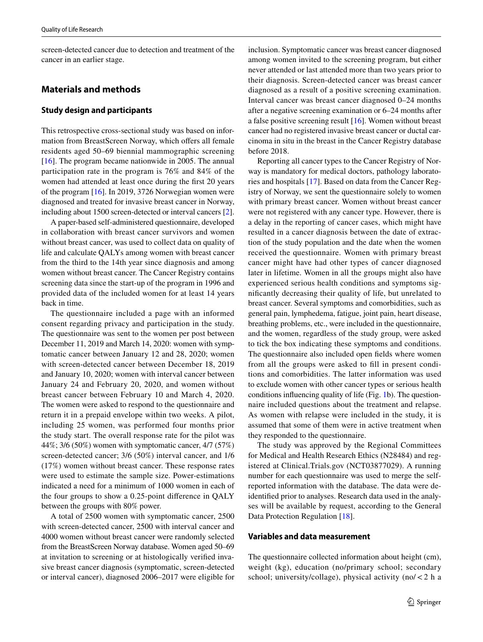screen-detected cancer due to detection and treatment of the cancer in an earlier stage.

# **Materials and methods**

#### **Study design and participants**

This retrospective cross-sectional study was based on information from BreastScreen Norway, which offers all female residents aged 50–69 biennial mammographic screening [\[16\]](#page-11-3). The program became nationwide in 2005. The annual participation rate in the program is 76% and 84% of the women had attended at least once during the frst 20 years of the program [[16\]](#page-11-3). In 2019, 3726 Norwegian women were diagnosed and treated for invasive breast cancer in Norway, including about 1500 screen-detected or interval cancers [\[2](#page-10-1)].

A paper-based self-administered questionnaire, developed in collaboration with breast cancer survivors and women without breast cancer, was used to collect data on quality of life and calculate QALYs among women with breast cancer from the third to the 14th year since diagnosis and among women without breast cancer. The Cancer Registry contains screening data since the start-up of the program in 1996 and provided data of the included women for at least 14 years back in time.

The questionnaire included a page with an informed consent regarding privacy and participation in the study. The questionnaire was sent to the women per post between December 11, 2019 and March 14, 2020: women with symptomatic cancer between January 12 and 28, 2020; women with screen-detected cancer between December 18, 2019 and January 10, 2020; women with interval cancer between January 24 and February 20, 2020, and women without breast cancer between February 10 and March 4, 2020. The women were asked to respond to the questionnaire and return it in a prepaid envelope within two weeks. A pilot, including 25 women, was performed four months prior the study start. The overall response rate for the pilot was 44%; 3/6 (50%) women with symptomatic cancer, 4/7 (57%) screen-detected cancer; 3/6 (50%) interval cancer, and 1/6 (17%) women without breast cancer. These response rates were used to estimate the sample size. Power-estimations indicated a need for a minimum of 1000 women in each of the four groups to show a 0.25-point diference in QALY between the groups with 80% power.

A total of 2500 women with symptomatic cancer, 2500 with screen-detected cancer, 2500 with interval cancer and 4000 women without breast cancer were randomly selected from the BreastScreen Norway database. Women aged 50–69 at invitation to screening or at histologically verifed invasive breast cancer diagnosis (symptomatic, screen-detected or interval cancer), diagnosed 2006–2017 were eligible for inclusion. Symptomatic cancer was breast cancer diagnosed among women invited to the screening program, but either never attended or last attended more than two years prior to their diagnosis. Screen-detected cancer was breast cancer diagnosed as a result of a positive screening examination. Interval cancer was breast cancer diagnosed 0–24 months after a negative screening examination or 6–24 months after a false positive screening result [\[16](#page-11-3)]. Women without breast cancer had no registered invasive breast cancer or ductal carcinoma in situ in the breast in the Cancer Registry database before 2018.

Reporting all cancer types to the Cancer Registry of Norway is mandatory for medical doctors, pathology laboratories and hospitals [\[17](#page-11-4)]. Based on data from the Cancer Registry of Norway, we sent the questionnaire solely to women with primary breast cancer. Women without breast cancer were not registered with any cancer type. However, there is a delay in the reporting of cancer cases, which might have resulted in a cancer diagnosis between the date of extraction of the study population and the date when the women received the questionnaire. Women with primary breast cancer might have had other types of cancer diagnosed later in lifetime. Women in all the groups might also have experienced serious health conditions and symptoms signifcantly decreasing their quality of life, but unrelated to breast cancer. Several symptoms and comorbidities, such as general pain, lymphedema, fatigue, joint pain, heart disease, breathing problems, etc., were included in the questionnaire, and the women, regardless of the study group, were asked to tick the box indicating these symptoms and conditions. The questionnaire also included open felds where women from all the groups were asked to fll in present conditions and comorbidities. The latter information was used to exclude women with other cancer types or serious health conditions infuencing quality of life (Fig. [1](#page-3-0)b). The questionnaire included questions about the treatment and relapse. As women with relapse were included in the study, it is assumed that some of them were in active treatment when they responded to the questionnaire.

The study was approved by the Regional Committees for Medical and Health Research Ethics (N28484) and registered at Clinical.Trials.gov (NCT03877029). A running number for each questionnaire was used to merge the selfreported information with the database. The data were deidentifed prior to analyses. Research data used in the analyses will be available by request, according to the General Data Protection Regulation [[18\]](#page-11-5).

#### **Variables and data measurement**

The questionnaire collected information about height (cm), weight (kg), education (no/primary school; secondary school; university/collage), physical activity (no/<2 h a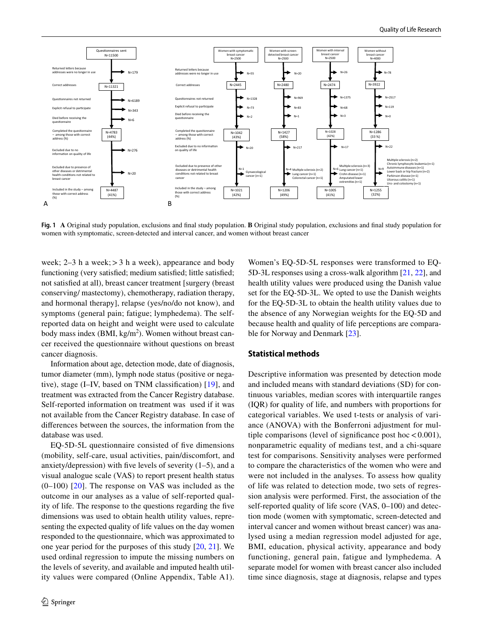

<span id="page-3-0"></span>**Fig. 1 A** Original study population, exclusions and fnal study population. **B** Original study population, exclusions and fnal study population for women with symptomatic, screen-detected and interval cancer, and women without breast cancer

week;  $2-3$  h a week;  $>3$  h a week), appearance and body functioning (very satisfed; medium satisfed; little satisfed; not satisfed at all), breast cancer treatment [surgery (breast conserving/ mastectomy), chemotherapy, radiation therapy, and hormonal therapy], relapse (yes/no/do not know), and symptoms (general pain; fatigue; lymphedema). The selfreported data on height and weight were used to calculate body mass index  $(BMI, kg/m<sup>2</sup>)$ . Women without breast cancer received the questionnaire without questions on breast cancer diagnosis.

Information about age, detection mode, date of diagnosis, tumor diameter (mm), lymph node status (positive or negative), stage (I–IV, based on TNM classifcation) [\[19](#page-11-6)], and treatment was extracted from the Cancer Registry database. Self-reported information on treatment was used if it was not available from the Cancer Registry database. In case of diferences between the sources, the information from the database was used.

EQ-5D-5L questionnaire consisted of fve dimensions (mobility, self-care, usual activities, pain/discomfort, and anxiety/depression) with five levels of severity  $(1-5)$ , and a visual analogue scale (VAS) to report present health status (0–100) [[20](#page-11-7)]. The response on VAS was included as the outcome in our analyses as a value of self-reported quality of life. The response to the questions regarding the fve dimensions was used to obtain health utility values, representing the expected quality of life values on the day women responded to the questionnaire, which was approximated to one year period for the purposes of this study [[20,](#page-11-7) [21](#page-11-8)]. We used ordinal regression to impute the missing numbers on the levels of severity, and available and imputed health utility values were compared (Online Appendix, Table A1).

Women's EQ-5D-5L responses were transformed to EQ-5D-3L responses using a cross-walk algorithm [[21,](#page-11-8) [22\]](#page-11-9), and health utility values were produced using the Danish value set for the EQ-5D-3L. We opted to use the Danish weights for the EQ-5D-3L to obtain the health utility values due to the absence of any Norwegian weights for the EQ-5D and because health and quality of life perceptions are comparable for Norway and Denmark [[23\]](#page-11-10).

#### **Statistical methods**

Descriptive information was presented by detection mode and included means with standard deviations (SD) for continuous variables, median scores with interquartile ranges (IQR) for quality of life, and numbers with proportions for categorical variables. We used t-tests or analysis of variance (ANOVA) with the Bonferroni adjustment for multiple comparisons (level of significance post hoc  $< 0.001$ ), nonparametric equality of medians test, and a chi-square test for comparisons. Sensitivity analyses were performed to compare the characteristics of the women who were and were not included in the analyses. To assess how quality of life was related to detection mode, two sets of regression analysis were performed. First, the association of the self-reported quality of life score (VAS, 0–100) and detection mode (women with symptomatic, screen-detected and interval cancer and women without breast cancer) was analysed using a median regression model adjusted for age, BMI, education, physical activity, appearance and body functioning, general pain, fatigue and lymphedema. A separate model for women with breast cancer also included time since diagnosis, stage at diagnosis, relapse and types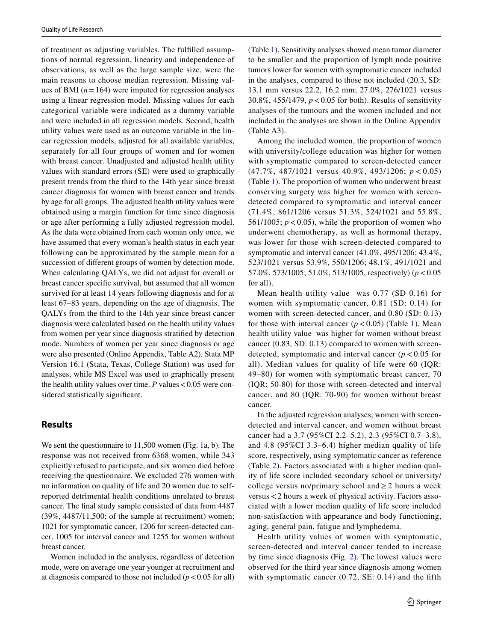of treatment as adjusting variables. The fulflled assumptions of normal regression, linearity and independence of observations, as well as the large sample size, were the main reasons to choose median regression. Missing values of BMI  $(n=164)$  were imputed for regression analyses using a linear regression model. Missing values for each categorical variable were indicated as a dummy variable and were included in all regression models. Second, health utility values were used as an outcome variable in the linear regression models, adjusted for all available variables, separately for all four groups of women and for women with breast cancer. Unadjusted and adjusted health utility values with standard errors (SE) were used to graphically present trends from the third to the 14th year since breast cancer diagnosis for women with breast cancer and trends by age for all groups. The adjusted health utility values were obtained using a margin function for time since diagnosis or age after performing a fully adjusted regression model. As the data were obtained from each woman only once, we have assumed that every woman's health status in each year following can be approximated by the sample mean for a succession of diferent groups of women by detection mode. When calculating QALYs, we did not adjust for overall or breast cancer specifc survival, but assumed that all women survived for at least 14 years following diagnosis and for at least 67–83 years, depending on the age of diagnosis. The QALYs from the third to the 14th year since breast cancer diagnosis were calculated based on the health utility values from women per year since diagnosis stratifed by detection mode. Numbers of women per year since diagnosis or age were also presented (Online Appendix, Table A2). Stata MP Version 16.1 (Stata, Texas, College Station) was used for analyses, while MS Excel was used to graphically present the health utility values over time.  $P$  values  $< 0.05$  were considered statistically signifcant.

## **Results**

We sent the questionnaire to 11,500 women (Fig. [1a](#page-3-0), b). The response was not received from 6368 women, while 343 explicitly refused to participate, and six women died before receiving the questionnaire. We excluded 276 women with no information on quality of life and 20 women due to selfreported detrimental health conditions unrelated to breast cancer. The fnal study sample consisted of data from 4487 (39%, 4487/11,500; of the sample at recruitment) women; 1021 for symptomatic cancer, 1206 for screen-detected cancer, 1005 for interval cancer and 1255 for women without breast cancer.

Women included in the analyses, regardless of detection mode, were on average one year younger at recruitment and at diagnosis compared to those not included  $(p < 0.05$  for all) (Table [1\)](#page-5-0). Sensitivity analyses showed mean tumor diameter to be smaller and the proportion of lymph node positive tumors lower for women with symptomatic cancer included in the analyses, compared to those not included (20.3, SD: 13.1 mm versus 22.2, 16.2 mm; 27.0%, 276/1021 versus 30.8%, 455/1479, *p*<0.05 for both). Results of sensitivity analyses of the tumours and the women included and not included in the analyses are shown in the Online Appendix (Table A3).

Among the included women, the proportion of women with university/college education was higher for women with symptomatic compared to screen-detected cancer (47.7%, 487/1021 versus 40.9%, 493/1206; *p* < 0.05) (Table [1\)](#page-5-0). The proportion of women who underwent breast conserving surgery was higher for women with screendetected compared to symptomatic and interval cancer (71.4%, 861/1206 versus 51.3%, 524/1021 and 55.8%, 561/1005;  $p < 0.05$ ), while the proportion of women who underwent chemotherapy, as well as hormonal therapy, was lower for those with screen-detected compared to symptomatic and interval cancer (41.0%, 495/1206; 43.4%, 523/1021 versus 53.9%, 550/1206; 48.1%, 491/1021 and 57.0%, 573/1005; 51.0%, 513/1005, respectively) (*p*<0.05 for all).

Mean health utility value was 0.77 (SD 0.16) for women with symptomatic cancer, 0.81 (SD: 0.14) for women with screen-detected cancer, and 0.80 (SD: 0.13) for those with interval cancer  $(p < 0.05)$  (Table [1\)](#page-5-0). Mean health utility value was higher for women without breast cancer (0.83, SD: 0.13) compared to women with screendetected, symptomatic and interval cancer  $(p < 0.05$  for all). Median values for quality of life were 60 (IQR: 49–80) for women with symptomatic breast cancer, 70 (IQR: 50-80) for those with screen-detected and interval cancer, and 80 (IQR: 70-90) for women without breast cancer.

In the adjusted regression analyses, women with screendetected and interval cancer, and women without breast cancer had a 3.7 (95%CI 2.2–5.2), 2.3 (95%CI 0.7–3.8), and 4.8 (95%CI 3.3–6.4) higher median quality of life score, respectively, using symptomatic cancer as reference (Table [2](#page-7-0)). Factors associated with a higher median quality of life score included secondary school or university/ college versus no/primary school and  $\geq 2$  hours a week versus<2 hours a week of physical activity. Factors associated with a lower median quality of life score included non-satisfaction with appearance and body functioning, aging, general pain, fatigue and lymphedema.

Health utility values of women with symptomatic, screen-detected and interval cancer tended to increase by time since diagnosis (Fig. [2\)](#page-8-0). The lowest values were observed for the third year since diagnosis among women with symptomatic cancer (0.72, SE: 0.14) and the fifth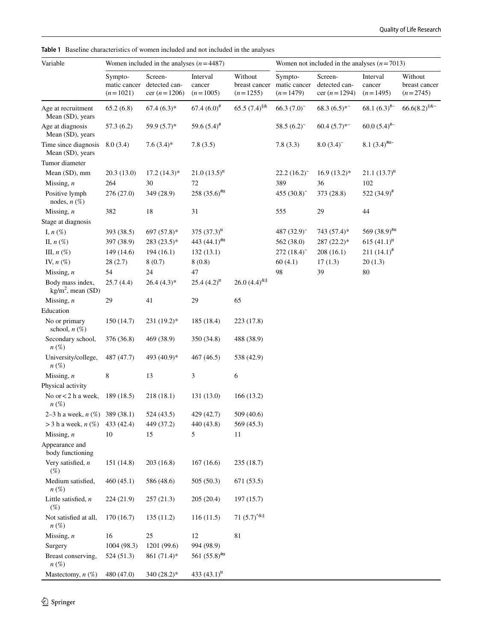| Variable                                        | Women included in the analyses $(n=4487)$ |                                            |                                  |                                        | Women not included in the analyses $(n=7013)$ |                                            |                                  |                                        |  |
|-------------------------------------------------|-------------------------------------------|--------------------------------------------|----------------------------------|----------------------------------------|-----------------------------------------------|--------------------------------------------|----------------------------------|----------------------------------------|--|
|                                                 | Sympto-<br>matic cancer<br>$(n=1021)$     | Screen-<br>detected can-<br>cer $(n=1206)$ | Interval<br>cancer<br>$(n=1005)$ | Without<br>breast cancer<br>$(n=1255)$ | Sympto-<br>matic cancer<br>$(n=1479)$         | Screen-<br>detected can-<br>cer $(n=1294)$ | Interval<br>cancer<br>$(n=1495)$ | Without<br>breast cancer<br>$(n=2745)$ |  |
| Age at recruitment<br>Mean (SD), years          | 65.2(6.8)                                 | $67.4(6.3)*$                               | $67.4~(6.0)^{\#}$                | 65.5 $(7.4)^{\$ \&}$                   | 66.3 $(7.0)^{2}$                              | $68.3(6.5)$ *                              | 68.1 $(6.3)^{#}$                 | $66.6(8.2)^{\frac{6}{5}}$              |  |
| Age at diagnosis<br>Mean (SD), years            | 57.3(6.2)                                 | $59.9(5.7)$ *                              | 59.6 $(5.4)$ <sup>#</sup>        |                                        | 58.5 $(6.2)$ <sup>*</sup>                     | $60.4(5.7)$ *                              | $60.0(5.4)$ <sup>#~</sup>        |                                        |  |
| Time since diagnosis<br>Mean (SD), years        | 8.0(3.4)                                  | $7.6(3.4)$ *                               | 7.8(3.5)                         |                                        | 7.8(3.3)                                      | $8.0(3.4)$ <sup>~</sup>                    | $8.1 (3.4)$ #¤~                  |                                        |  |
| Tumor diameter                                  |                                           |                                            |                                  |                                        |                                               |                                            |                                  |                                        |  |
| Mean (SD), mm                                   | 20.3(13.0)                                | $17.2(14.3)*$                              | $21.0(13.5)^{n}$                 |                                        | $22.2(16.2)^{2}$                              | $16.9(13.2)^{*}$                           | 21.1 $(13.7)^{\mu}$              |                                        |  |
| Missing, $n$                                    | 264                                       | 30                                         | 72                               |                                        | 389                                           | 36                                         | 102                              |                                        |  |
| Positive lymph<br>nodes, $n$ $(\%)$             | 276 (27.0)                                | 349 (28.9)                                 | 258 $(35.6)$ <sup>#x</sup>       |                                        | 455 (30.8) <sup>~</sup>                       | 373 (28.8)                                 | 522 $(34.9)^{\#}$                |                                        |  |
| Missing, $n$                                    | 382                                       | 18                                         | 31                               |                                        | 555                                           | 29                                         | 44                               |                                        |  |
| Stage at diagnosis                              |                                           |                                            |                                  |                                        |                                               |                                            |                                  |                                        |  |
| I, $n\left(\%\right)$                           | 393 (38.5)                                | 697 $(57.8)^*$                             | 375 $(37.3)^{\text{m}}$          |                                        | 487 (32.9)~                                   | 743 (57.4)*                                | 569 $(38.9)$ <sup>#x</sup>       |                                        |  |
| II, $n$ $(\%)$                                  | 397 (38.9)                                | $283(23.5)*$                               | 443 $(44.1)$ <sup>#x</sup>       |                                        | 562 (38.0)                                    | 287 (22.2)*                                | 615 $(41.1)^{n}$                 |                                        |  |
| III, $n$ $(\%)$                                 | 149 (14.6)                                | 194(16.1)                                  | 132(13.1)                        |                                        | $272(18.4)$ <sup>*</sup>                      | 208(16.1)                                  | $211 (14.1)^{\#}$                |                                        |  |
| IV, $n$ $(\%)$                                  | 28(2.7)                                   | 8(0.7)                                     | 8(0.8)                           |                                        | 60(4.1)                                       | 17(1.3)                                    | 20(1.3)                          |                                        |  |
| Missing, $n$                                    | 54                                        | 24                                         | 47                               |                                        | 98                                            | 39                                         | 80                               |                                        |  |
| Body mass index,<br>$\text{kg/m}^2$ , mean (SD) | 25.7(4.4)                                 | $26.4(4.3)*$                               | 25.4 $(4.2)^{n}$                 | 26.0 $(4.4)^{k\%}$                     |                                               |                                            |                                  |                                        |  |
| Missing, $n$                                    | 29                                        | 41                                         | 29                               | 65                                     |                                               |                                            |                                  |                                        |  |
| Education                                       |                                           |                                            |                                  |                                        |                                               |                                            |                                  |                                        |  |
| No or primary<br>school, $n$ $(\%)$             | 150 (14.7)                                | 231 (19.2)*                                | 185 (18.4)                       | 223 (17.8)                             |                                               |                                            |                                  |                                        |  |
| Secondary school,<br>$n(\%)$                    | 376 (36.8)                                | 469 (38.9)                                 | 350 (34.8)                       | 488 (38.9)                             |                                               |                                            |                                  |                                        |  |
| University/college,<br>$n\left(\%\right)$       | 487 (47.7)                                | 493 (40.9)*                                | 467 (46.5)                       | 538 (42.9)                             |                                               |                                            |                                  |                                        |  |
| Missing, $n$                                    | 8                                         | 13                                         | 3                                | 6                                      |                                               |                                            |                                  |                                        |  |
| Physical activity                               |                                           |                                            |                                  |                                        |                                               |                                            |                                  |                                        |  |
| No or $<$ 2 h a week,<br>$n(\%)$                | 189 (18.5)                                | 218(18.1)                                  | 131(13.0)                        | 166(13.2)                              |                                               |                                            |                                  |                                        |  |
| 2–3 h a week, $n$ (%) 389 (38.1)                |                                           | 524 (43.5)                                 | 429 (42.7)                       | 509 (40.6)                             |                                               |                                            |                                  |                                        |  |
| > 3 h a week, $n$ (%) 433 (42.4)                |                                           | 449 (37.2)                                 | 440 (43.8)                       | 569 (45.3)                             |                                               |                                            |                                  |                                        |  |
| Missing, $n$                                    | 10                                        | 15                                         | 5                                | 11                                     |                                               |                                            |                                  |                                        |  |
| Appearance and<br>body functioning              |                                           |                                            |                                  |                                        |                                               |                                            |                                  |                                        |  |
| Very satisfied, $n$<br>$(\%)$                   | 151 (14.8)                                | 203(16.8)                                  | 167(16.6)                        | 235 (18.7)                             |                                               |                                            |                                  |                                        |  |
| Medium satisfied,<br>$n(\%)$                    | 460(45.1)                                 | 586 (48.6)                                 | 505(50.3)                        | 671 (53.5)                             |                                               |                                            |                                  |                                        |  |
| Little satisfied, $n$<br>$(\%)$                 | 224 (21.9)                                | 257(21.3)                                  | 205(20.4)                        | 197(15.7)                              |                                               |                                            |                                  |                                        |  |
| Not satisfied at all,<br>$n\left(\%\right)$     | 170(16.7)                                 | 135(11.2)                                  | 116(11.5)                        | 71 $(5.7)^{4k}$                        |                                               |                                            |                                  |                                        |  |
| Missing, $n$                                    | 16                                        | 25                                         | 12                               | 81                                     |                                               |                                            |                                  |                                        |  |
| Surgery                                         | 1004 (98.3)                               | 1201 (99.6)                                | 994 (98.9)                       |                                        |                                               |                                            |                                  |                                        |  |
| Breast conserving,<br>$n\left(\%\right)$        | 524 (51.3)                                | 861 (71.4)*                                | 561 $(55.8)$ <sup>#x</sup>       |                                        |                                               |                                            |                                  |                                        |  |
| Mastectomy, $n$ (%)                             | 480 (47.0)                                | 340 (28.2)*                                | 433 $(43.1)^{n}$                 |                                        |                                               |                                            |                                  |                                        |  |
|                                                 |                                           |                                            |                                  |                                        |                                               |                                            |                                  |                                        |  |

<span id="page-5-0"></span>**Table 1** Baseline characteristics of women included and not included in the analyses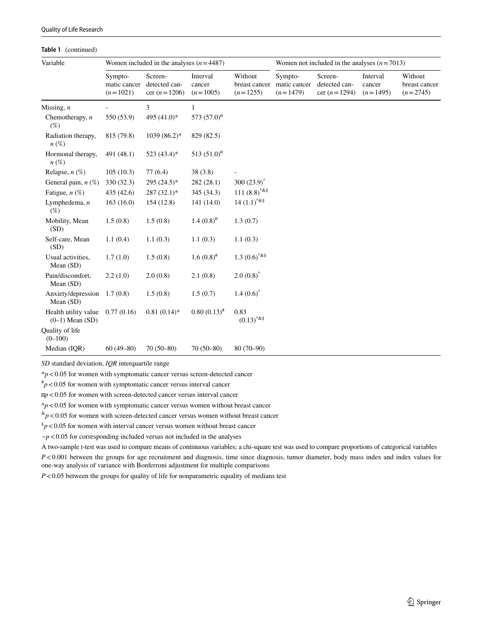#### **Table 1** (continued)

| Variable                                    | Women included in the analyses $(n=4487)$ |                                            |                                  |                                          | Women not included in the analyses $(n=7013)$ |                                            |                                  |                                        |  |
|---------------------------------------------|-------------------------------------------|--------------------------------------------|----------------------------------|------------------------------------------|-----------------------------------------------|--------------------------------------------|----------------------------------|----------------------------------------|--|
|                                             | Sympto-<br>matic cancer<br>$(n=1021)$     | Screen-<br>detected can-<br>cer $(n=1206)$ | Interval<br>cancer<br>$(n=1005)$ | Without<br>breast cancer<br>$(n=1255)$   | Sympto-<br>matic cancer<br>$(n=1479)$         | Screen-<br>detected can-<br>cer $(n=1294)$ | Interval<br>cancer<br>$(n=1495)$ | Without<br>breast cancer<br>$(n=2745)$ |  |
| Missing, $n$                                |                                           | 3                                          | $\mathbf{1}$                     |                                          |                                               |                                            |                                  |                                        |  |
| Chemotherapy, $n$<br>$(\%)$                 | 550 (53.9)                                | 495 (41.0)*                                | 573 $(57.0)^{\text{m}}$          |                                          |                                               |                                            |                                  |                                        |  |
| Radiation therapy,<br>$n(\%)$               | 815 (79.8)                                | $1039(86.2)$ *                             | 829 (82.5)                       |                                          |                                               |                                            |                                  |                                        |  |
| Hormonal therapy,<br>$n(\%)$                | 491 (48.1)                                | $523(43.4)$ *                              | 513 $(51.0)^{\text{m}}$          |                                          |                                               |                                            |                                  |                                        |  |
| Relapse, $n$ $(\%)$                         | 105(10.3)                                 | 77(6.4)                                    | 38(3.8)                          |                                          |                                               |                                            |                                  |                                        |  |
| General pain, $n(\%)$                       | 330 (32.3)                                | $295(24.5)^*$                              | 282 (28.1)                       | $300(23.9)^{\circ}$                      |                                               |                                            |                                  |                                        |  |
| Fatigue, $n$ (%)                            | 435(42.6)                                 | $287(32.1)^*$                              | 345 (34.3)                       | 111 $(8.8)^{4k}$                         |                                               |                                            |                                  |                                        |  |
| Lymphedema, $n$<br>$(\%)$                   | 163(16.0)                                 | 154(12.8)                                  | 141(14.0)                        | $14(1.1)^{48}$                           |                                               |                                            |                                  |                                        |  |
| Mobility, Mean<br>(SD)                      | 1.5(0.8)                                  | 1.5(0.8)                                   | 1.4 $(0.8)^{n}$                  | 1.3(0.7)                                 |                                               |                                            |                                  |                                        |  |
| Self-care, Mean<br>(SD)                     | 1.1(0.4)                                  | 1.1(0.3)                                   | 1.1(0.3)                         | 1.1(0.3)                                 |                                               |                                            |                                  |                                        |  |
| Usual activities,<br>Mean $(SD)$            | 1.7(1.0)                                  | 1.5(0.8)                                   | $1.6(0.8)^{*}$                   | $1.3 (0.6)^{4}$                          |                                               |                                            |                                  |                                        |  |
| Pain/discomfort,<br>Mean $(SD)$             | 2.2(1.0)                                  | 2.0(0.8)                                   | 2.1(0.8)                         | $2.0(0.8)^{^{\wedge}}$                   |                                               |                                            |                                  |                                        |  |
| Anxiety/depression<br>Mean $(SD)$           | 1.7(0.8)                                  | 1.5(0.8)                                   | 1.5(0.7)                         | 1.4 $(0.6)^{\hat{ }}$                    |                                               |                                            |                                  |                                        |  |
| Health utility value<br>$(0-1)$ Mean $(SD)$ | 0.77(0.16)                                | $0.81(0.14)$ *                             | $0.80(0.13)^{#}$                 | 0.83<br>$\left(0.13\right)^{\wedge\&\S}$ |                                               |                                            |                                  |                                        |  |
| Quality of life<br>$(0-100)$                |                                           |                                            |                                  |                                          |                                               |                                            |                                  |                                        |  |
| Median (IQR)                                | $60(49 - 80)$                             | $70(50-80)$                                | $70(50-80)$                      | $80(70-90)$                              |                                               |                                            |                                  |                                        |  |

*SD* standard deviation, *IQR* interquartile range

\**p*<0.05 for women with symptomatic cancer versus screen-detected cancer

 $^{*}p$  < 0.05 for women with symptomatic cancer versus interval cancer

¤*p*<0.05 for women with screen-detected cancer versus interval cancer

 $\gamma p$ <0.05 for women with symptomatic cancer versus women without breast cancer

 $\binom{k}{p}$  < 0.05 for women with screen-detected cancer versus women without breast cancer

 $\frac{6}{9}$  < 0.05 for women with interval cancer versus women without breast cancer

 $\neg p < 0.05$  for corresponding included versus not included in the analyses

A two-sample t-test was used to compare means of continuous variables; a chi-square test was used to compare proportions of categorical variables

*P*<0.001 between the groups for age recruitment and diagnosis, time since diagnosis, tumor diameter, body mass index and index values for one-way analysis of variance with Bonferroni adjustment for multiple comparisons

*P*<0.05 between the groups for quality of life for nonparametric equality of medians test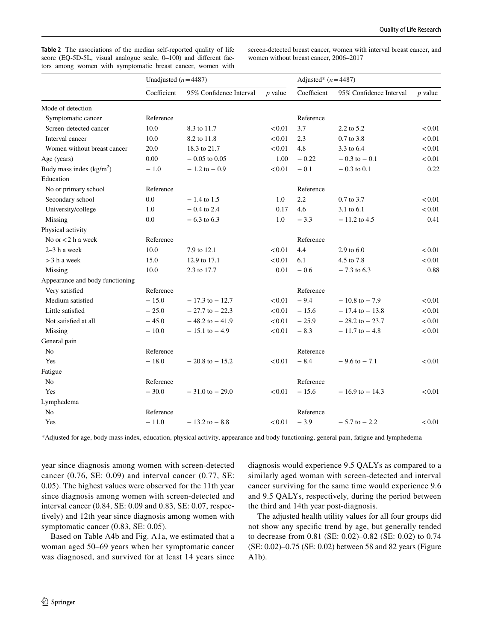<span id="page-7-0"></span>**Table 2** The associations of the median self-reported quality of life score (EQ-5D-5L, visual analogue scale, 0–100) and diferent factors among women with symptomatic breast cancer, women with

screen-detected breast cancer, women with interval breast cancer, and women without breast cancer, 2006–2017

|                                 | Unadjusted $(n=4487)$ |                         |           | Adjusted* $(n=4487)$ |                         |           |  |
|---------------------------------|-----------------------|-------------------------|-----------|----------------------|-------------------------|-----------|--|
|                                 | Coefficient           | 95% Confidence Interval | $p$ value | Coefficient          | 95% Confidence Interval | $p$ value |  |
| Mode of detection               |                       |                         |           |                      |                         |           |  |
| Symptomatic cancer              | Reference             |                         |           | Reference            |                         |           |  |
| Screen-detected cancer          | 10.0                  | 8.3 to 11.7             | < 0.01    | 3.7                  | $2.2$ to $5.2$          | < 0.01    |  |
| Interval cancer                 | 10.0                  | 8.2 to 11.8             | < 0.01    | 2.3                  | 0.7 to 3.8              | < 0.01    |  |
| Women without breast cancer     | 20.0                  | 18.3 to 21.7            | < 0.01    | 4.8                  | 3.3 to 6.4              | < 0.01    |  |
| Age (years)                     | 0.00                  | $-0.05$ to 0.05         | 1.00      | $-0.22$              | $-0.3$ to $-0.1$        | < 0.01    |  |
| Body mass index $(kg/m2)$       | $-1.0$                | $-1.2$ to $-0.9$        | < 0.01    | $-0.1$               | $-0.3$ to 0.1           | 0.22      |  |
| Education                       |                       |                         |           |                      |                         |           |  |
| No or primary school            | Reference             |                         |           | Reference            |                         |           |  |
| Secondary school                | 0.0                   | $-1.4$ to 1.5           | 1.0       | 2.2                  | $0.7$ to $3.7$          | < 0.01    |  |
| University/college              | 1.0                   | $-0.4$ to 2.4           | 0.17      | 4.6                  | 3.1 to 6.1              | < 0.01    |  |
| Missing                         | 0.0                   | $-6.3$ to 6.3           | 1.0       | $-3.3$               | $-11.2$ to 4.5          | 0.41      |  |
| Physical activity               |                       |                         |           |                      |                         |           |  |
| No or <2 h a week               | Reference             |                         |           | Reference            |                         |           |  |
| $2-3h$ a week                   | 10.0                  | 7.9 to 12.1             | < 0.01    | 4.4                  | 2.9 to $6.0$            | < 0.01    |  |
| $>$ 3 h a week                  | 15.0                  | 12.9 to 17.1            | < 0.01    | 6.1                  | 4.5 to 7.8              | < 0.01    |  |
| Missing                         | 10.0                  | 2.3 to 17.7             | 0.01      | $-0.6$               | $-7.3$ to 6.3           | 0.88      |  |
| Appearance and body functioning |                       |                         |           |                      |                         |           |  |
| Very satisfied                  | Reference             |                         |           | Reference            |                         |           |  |
| Medium satisfied                | $-15.0$               | $-17.3$ to $-12.7$      | < 0.01    | $-9.4$               | $-10.8$ to $-7.9$       | < 0.01    |  |
| Little satisfied                | $-25.0$               | $-27.7$ to $-22.3$      | < 0.01    | $-15.6$              | $-17.4$ to $-13.8$      | < 0.01    |  |
| Not satisfied at all            | $-45.0$               | $-48.2$ to $-41.9$      | < 0.01    | $-25.9$              | $-28.2$ to $-23.7$      | < 0.01    |  |
| Missing                         | $-10.0$               | $-15.1$ to $-4.9$       | < 0.01    | $-8.3$               | $-11.7$ to $-4.8$       | < 0.01    |  |
| General pain                    |                       |                         |           |                      |                         |           |  |
| No                              | Reference             |                         |           | Reference            |                         |           |  |
| Yes                             | $-18.0$               | $-20.8$ to $-15.2$      | < 0.01    | $-8.4$               | $-9.6$ to $-7.1$        | < 0.01    |  |
| Fatigue                         |                       |                         |           |                      |                         |           |  |
| N <sub>0</sub>                  | Reference             |                         |           | Reference            |                         |           |  |
| Yes                             | $-30.0$               | $-31.0$ to $-29.0$      | < 0.01    | $-15.6$              | $-16.9$ to $-14.3$      | < 0.01    |  |
| Lymphedema                      |                       |                         |           |                      |                         |           |  |
| N <sub>0</sub>                  | Reference             |                         |           | Reference            |                         |           |  |
| Yes                             | $-11.0$               | $-13.2$ to $-8.8$       | < 0.01    | $-3.9$               | $-5.7$ to $-2.2$        | < 0.01    |  |

\*Adjusted for age, body mass index, education, physical activity, appearance and body functioning, general pain, fatigue and lymphedema

year since diagnosis among women with screen-detected cancer (0.76, SE: 0.09) and interval cancer (0.77, SE: 0.05). The highest values were observed for the 11th year since diagnosis among women with screen-detected and interval cancer (0.84, SE: 0.09 and 0.83, SE: 0.07, respectively) and 12th year since diagnosis among women with symptomatic cancer (0.83, SE: 0.05).

Based on Table A4b and Fig. A1a, we estimated that a woman aged 50–69 years when her symptomatic cancer was diagnosed, and survived for at least 14 years since diagnosis would experience 9.5 QALYs as compared to a similarly aged woman with screen-detected and interval cancer surviving for the same time would experience 9.6 and 9.5 QALYs, respectively, during the period between the third and 14th year post-diagnosis.

The adjusted health utility values for all four groups did not show any specifc trend by age, but generally tended to decrease from 0.81 (SE: 0.02)–0.82 (SE: 0.02) to 0.74 (SE: 0.02)–0.75 (SE: 0.02) between 58 and 82 years (Figure A1b).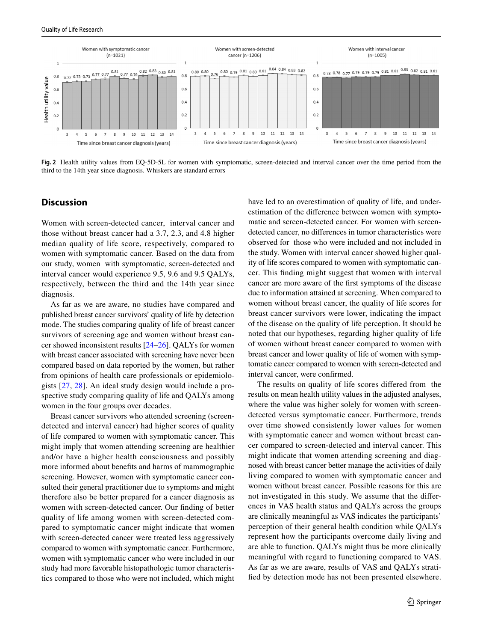

<span id="page-8-0"></span>**Fig. 2** Health utility values from EQ-5D-5L for women with symptomatic, screen-detected and interval cancer over the time period from the third to the 14th year since diagnosis. Whiskers are standard errors

## **Discussion**

Women with screen-detected cancer, interval cancer and those without breast cancer had a 3.7, 2.3, and 4.8 higher median quality of life score, respectively, compared to women with symptomatic cancer. Based on the data from our study, women with symptomatic, screen-detected and interval cancer would experience 9.5, 9.6 and 9.5 QALYs, respectively, between the third and the 14th year since diagnosis.

As far as we are aware, no studies have compared and published breast cancer survivors' quality of life by detection mode. The studies comparing quality of life of breast cancer survivors of screening age and women without breast cancer showed inconsistent results [[24–](#page-11-11)[26\]](#page-11-12). QALYs for women with breast cancer associated with screening have never been compared based on data reported by the women, but rather from opinions of health care professionals or epidemiologists [\[27](#page-11-13), [28](#page-11-14)]. An ideal study design would include a prospective study comparing quality of life and QALYs among women in the four groups over decades.

Breast cancer survivors who attended screening (screendetected and interval cancer) had higher scores of quality of life compared to women with symptomatic cancer. This might imply that women attending screening are healthier and/or have a higher health consciousness and possibly more informed about benefts and harms of mammographic screening. However, women with symptomatic cancer consulted their general practitioner due to symptoms and might therefore also be better prepared for a cancer diagnosis as women with screen-detected cancer. Our fnding of better quality of life among women with screen-detected compared to symptomatic cancer might indicate that women with screen-detected cancer were treated less aggressively compared to women with symptomatic cancer. Furthermore, women with symptomatic cancer who were included in our study had more favorable histopathologic tumor characteristics compared to those who were not included, which might have led to an overestimation of quality of life, and underestimation of the diference between women with symptomatic and screen-detected cancer. For women with screendetected cancer, no diferences in tumor characteristics were observed for those who were included and not included in the study. Women with interval cancer showed higher quality of life scores compared to women with symptomatic cancer. This fnding might suggest that women with interval cancer are more aware of the frst symptoms of the disease due to information attained at screening. When compared to women without breast cancer, the quality of life scores for breast cancer survivors were lower, indicating the impact of the disease on the quality of life perception. It should be noted that our hypotheses, regarding higher quality of life of women without breast cancer compared to women with breast cancer and lower quality of life of women with symptomatic cancer compared to women with screen-detected and interval cancer, were confrmed.

The results on quality of life scores difered from the results on mean health utility values in the adjusted analyses, where the value was higher solely for women with screendetected versus symptomatic cancer. Furthermore, trends over time showed consistently lower values for women with symptomatic cancer and women without breast cancer compared to screen-detected and interval cancer. This might indicate that women attending screening and diagnosed with breast cancer better manage the activities of daily living compared to women with symptomatic cancer and women without breast cancer. Possible reasons for this are not investigated in this study. We assume that the diferences in VAS health status and QALYs across the groups are clinically meaningful as VAS indicates the participants' perception of their general health condition while QALYs represent how the participants overcome daily living and are able to function. QALYs might thus be more clinically meaningful with regard to functioning compared to VAS. As far as we are aware, results of VAS and QALYs stratifed by detection mode has not been presented elsewhere.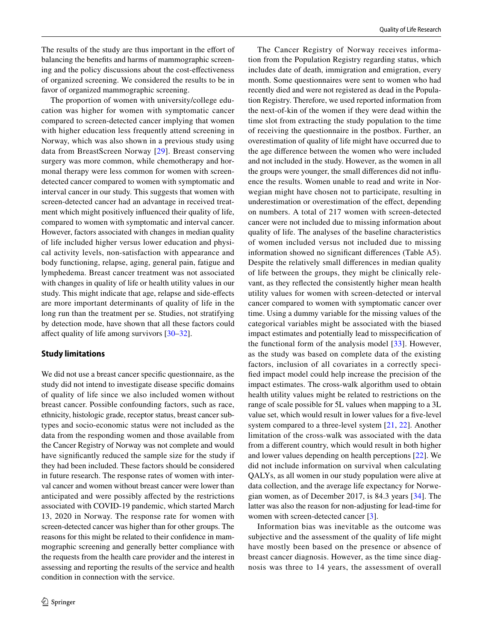The results of the study are thus important in the effort of balancing the benefts and harms of mammographic screening and the policy discussions about the cost-efectiveness of organized screening. We considered the results to be in favor of organized mammographic screening.

The proportion of women with university/college education was higher for women with symptomatic cancer compared to screen-detected cancer implying that women with higher education less frequently attend screening in Norway, which was also shown in a previous study using data from BreastScreen Norway [\[29\]](#page-11-15). Breast conserving surgery was more common, while chemotherapy and hormonal therapy were less common for women with screendetected cancer compared to women with symptomatic and interval cancer in our study. This suggests that women with screen-detected cancer had an advantage in received treatment which might positively infuenced their quality of life, compared to women with symptomatic and interval cancer. However, factors associated with changes in median quality of life included higher versus lower education and physical activity levels, non-satisfaction with appearance and body functioning, relapse, aging, general pain, fatigue and lymphedema. Breast cancer treatment was not associated with changes in quality of life or health utility values in our study. This might indicate that age, relapse and side-efects are more important determinants of quality of life in the long run than the treatment per se. Studies, not stratifying by detection mode, have shown that all these factors could afect quality of life among survivors [[30](#page-11-16)[–32](#page-11-17)].

#### **Study limitations**

We did not use a breast cancer specifc questionnaire, as the study did not intend to investigate disease specifc domains of quality of life since we also included women without breast cancer. Possible confounding factors, such as race, ethnicity, histologic grade, receptor status, breast cancer subtypes and socio-economic status were not included as the data from the responding women and those available from the Cancer Registry of Norway was not complete and would have signifcantly reduced the sample size for the study if they had been included. These factors should be considered in future research. The response rates of women with interval cancer and women without breast cancer were lower than anticipated and were possibly afected by the restrictions associated with COVID-19 pandemic, which started March 13, 2020 in Norway. The response rate for women with screen-detected cancer was higher than for other groups. The reasons for this might be related to their confdence in mammographic screening and generally better compliance with the requests from the health care provider and the interest in assessing and reporting the results of the service and health condition in connection with the service.

The Cancer Registry of Norway receives information from the Population Registry regarding status, which includes date of death, immigration and emigration, every month. Some questionnaires were sent to women who had recently died and were not registered as dead in the Population Registry. Therefore, we used reported information from the next-of-kin of the women if they were dead within the time slot from extracting the study population to the time of receiving the questionnaire in the postbox. Further, an overestimation of quality of life might have occurred due to the age diference between the women who were included and not included in the study. However, as the women in all the groups were younger, the small diferences did not infuence the results. Women unable to read and write in Norwegian might have chosen not to participate, resulting in underestimation or overestimation of the effect, depending on numbers. A total of 217 women with screen-detected cancer were not included due to missing information about quality of life. The analyses of the baseline characteristics of women included versus not included due to missing information showed no signifcant diferences (Table A5). Despite the relatively small diferences in median quality of life between the groups, they might be clinically relevant, as they refected the consistently higher mean health utility values for women with screen-detected or interval cancer compared to women with symptomatic cancer over time. Using a dummy variable for the missing values of the categorical variables might be associated with the biased impact estimates and potentially lead to misspecifcation of the functional form of the analysis model [[33\]](#page-11-18). However, as the study was based on complete data of the existing factors, inclusion of all covariates in a correctly specifed impact model could help increase the precision of the impact estimates. The cross-walk algorithm used to obtain health utility values might be related to restrictions on the range of scale possible for 5L values when mapping to a 3L value set, which would result in lower values for a fve-level system compared to a three-level system [[21](#page-11-8), [22](#page-11-9)]. Another limitation of the cross-walk was associated with the data from a diferent country, which would result in both higher and lower values depending on health perceptions [[22\]](#page-11-9). We did not include information on survival when calculating QALYs, as all women in our study population were alive at data collection, and the average life expectancy for Norwegian women, as of December 2017, is 84.3 years [[34](#page-11-19)]. The latter was also the reason for non-adjusting for lead-time for women with screen-detected cancer [[3\]](#page-10-2).

Information bias was inevitable as the outcome was subjective and the assessment of the quality of life might have mostly been based on the presence or absence of breast cancer diagnosis. However, as the time since diagnosis was three to 14 years, the assessment of overall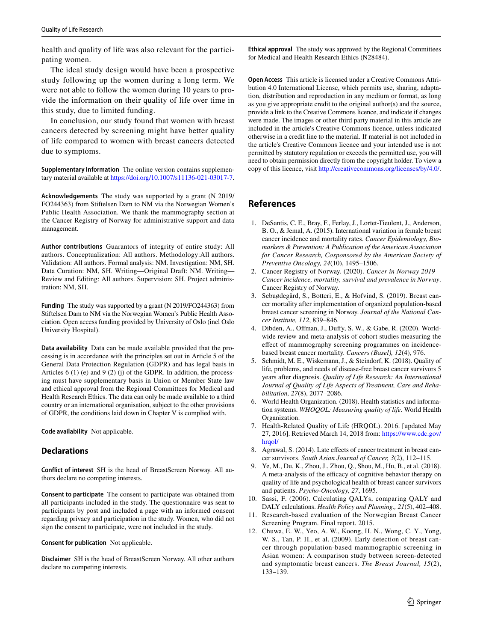health and quality of life was also relevant for the participating women.

The ideal study design would have been a prospective study following up the women during a long term. We were not able to follow the women during 10 years to provide the information on their quality of life over time in this study, due to limited funding.

In conclusion, our study found that women with breast cancers detected by screening might have better quality of life compared to women with breast cancers detected due to symptoms.

**Supplementary Information** The online version contains supplementary material available at<https://doi.org/10.1007/s11136-021-03017-7>.

**Acknowledgements** The study was supported by a grant (N 2019/ FO244363) from Stiftelsen Dam to NM via the Norwegian Women's Public Health Association. We thank the mammography section at the Cancer Registry of Norway for administrative support and data management.

**Author contributions** Guarantors of integrity of entire study: All authors. Conceptualization: All authors. Methodology:All authors. Validation: All authors. Formal analysis: NM. Investigation: NM, SH. Data Curation: NM, SH. Writing—Original Draft: NM. Writing— Review and Editing: All authors. Supervision: SH. Project administration: NM, SH.

**Funding** The study was supported by a grant (N 2019/FO244363) from Stiftelsen Dam to NM via the Norwegian Women's Public Health Association. Open access funding provided by University of Oslo (incl Oslo University Hospital).

**Data availability** Data can be made available provided that the processing is in accordance with the principles set out in Article 5 of the General Data Protection Regulation (GDPR) and has legal basis in Articles 6 (1) (e) and 9 (2) (j) of the GDPR. In addition, the processing must have supplementary basis in Union or Member State law and ethical approval from the Regional Committees for Medical and Health Research Ethics. The data can only be made available to a third country or an international organisation, subject to the other provisions of GDPR, the conditions laid down in Chapter V is complied with.

**Code availability** Not applicable.

#### **Declarations**

**Conflict of interest** SH is the head of BreastScreen Norway. All authors declare no competing interests.

**Consent to participate** The consent to participate was obtained from all participants included in the study. The questionnaire was sent to participants by post and included a page with an informed consent regarding privacy and participation in the study. Women, who did not sign the consent to participate, were not included in the study.

**Consent for publication** Not applicable.

**Disclaimer** SH is the head of BreastScreen Norway. All other authors declare no competing interests.

**Ethical approval** The study was approved by the Regional Committees for Medical and Health Research Ethics (N28484).

**Open Access** This article is licensed under a Creative Commons Attribution 4.0 International License, which permits use, sharing, adaptation, distribution and reproduction in any medium or format, as long as you give appropriate credit to the original author(s) and the source, provide a link to the Creative Commons licence, and indicate if changes were made. The images or other third party material in this article are included in the article's Creative Commons licence, unless indicated otherwise in a credit line to the material. If material is not included in the article's Creative Commons licence and your intended use is not permitted by statutory regulation or exceeds the permitted use, you will need to obtain permission directly from the copyright holder. To view a copy of this licence, visit<http://creativecommons.org/licenses/by/4.0/>.

# **References**

- <span id="page-10-0"></span>1. DeSantis, C. E., Bray, F., Ferlay, J., Lortet-Tieulent, J., Anderson, B. O., & Jemal, A. (2015). International variation in female breast cancer incidence and mortality rates. *Cancer Epidemiology, Biomarkers & Prevention: A Publication of the American Association for Cancer Research, Cosponsored by the American Society of Preventive Oncology, 24*(10), 1495–1506.
- <span id="page-10-1"></span>2. Cancer Registry of Norway. (2020). *Cancer in Norway 2019— Cancer incidence, mortality, survival and prevalence in Norway*. Cancer Registry of Norway.
- <span id="page-10-2"></span>3. Sebuødegård, S., Botteri, E., & Hofvind, S. (2019). Breast cancer mortality after implementation of organized population-based breast cancer screening in Norway. *Journal of the National Cancer Institute, 112*, 839–846.
- <span id="page-10-3"></span>4. Dibden, A., Ofman, J., Dufy, S. W., & Gabe, R. (2020). Worldwide review and meta-analysis of cohort studies measuring the efect of mammography screening programmes on incidencebased breast cancer mortality. *Cancers (Basel), 12*(4), 976.
- <span id="page-10-4"></span>5. Schmidt, M. E., Wiskemann, J., & Steindorf, K. (2018). Quality of life, problems, and needs of disease-free breast cancer survivors 5 years after diagnosis. *Quality of Life Research: An International Journal of Quality of Life Aspects of Treatment, Care and Rehabilitation, 27*(8), 2077–2086.
- <span id="page-10-5"></span>6. World Health Organization. (2018). Health statistics and information systems. *WHOQOL: Measuring quality of life.* World Health Organization.
- <span id="page-10-6"></span>7. Health-Related Quality of Life (HRQOL). 2016. [updated May 27, 2016]. Retrieved March 14, 2018 from: [https://www.cdc.gov/](https://www.cdc.gov/hrqol/) [hrqol/](https://www.cdc.gov/hrqol/)
- <span id="page-10-7"></span>8. Agrawal, S. (2014). Late effects of cancer treatment in breast cancer survivors. *South Asian Journal of Cancer, 3*(2), 112–115.
- <span id="page-10-8"></span>9. Ye, M., Du, K., Zhou, J., Zhou, Q., Shou, M., Hu, B., et al. (2018). A meta-analysis of the efficacy of cognitive behavior therapy on quality of life and psychological health of breast cancer survivors and patients. *Psycho-Oncology, 27*, 1695.
- <span id="page-10-9"></span>10. Sassi, F. (2006). Calculating QALYs, comparing QALY and DALY calculations. *Health Policy and Planning., 21*(5), 402–408.
- <span id="page-10-10"></span>11. Research-based evaluation of the Norwegian Breast Cancer Screening Program. Final report. 2015.
- <span id="page-10-11"></span>12. Chuwa, E. W., Yeo, A. W., Koong, H. N., Wong, C. Y., Yong, W. S., Tan, P. H., et al. (2009). Early detection of breast cancer through population-based mammographic screening in Asian women: A comparison study between screen-detected and symptomatic breast cancers. *The Breast Journal, 15*(2), 133–139.